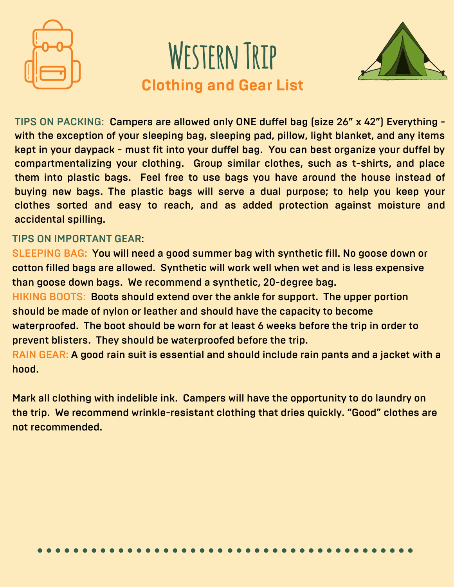

# **Western Trip Clothing and Gear List**



TIPS ON PACKING: Campers are allowed only ONE duffel bag (size 26" x 42") Everything with the exception of your sleeping bag, sleeping pad, pillow, light blanket, and any items kept in your daypack - must fit into your duffel bag. You can best organize your duffel by compartmentalizing your clothing. Group similar clothes, such as t-shirts, and place them into plastic bags. Feel free to use bags you have around the house instead of buying new bags. The plastic bags will serve a dual purpose; to help you keep your clothes sorted and easy to reach, and as added protection against moisture and accidental spilling.

# TIPS ON IMPORTANT GEAR:

SLEEPING BAG: You will need a good summer bag with synthetic fill. No goose down or cotton filled bags are allowed. Synthetic will work well when wet and is less expensive than goose down bags. We recommend a synthetic, 20-degree bag. HIKING BOOTS: Boots should extend over the ankle for support. The upper portion should be made of nylon or leather and should have the capacity to become waterproofed. The boot should be worn for at least 6 weeks before the trip in order to prevent blisters. They should be waterproofed before the trip. RAIN GEAR: A good rain suit is essential and should include rain pants and a jacket with a hood.

Mark all clothing with indelible ink. Campers will have the opportunity to do laundry on the trip. We recommend wrinkle-resistant clothing that dries quickly. "Good" clothes are not recommended.